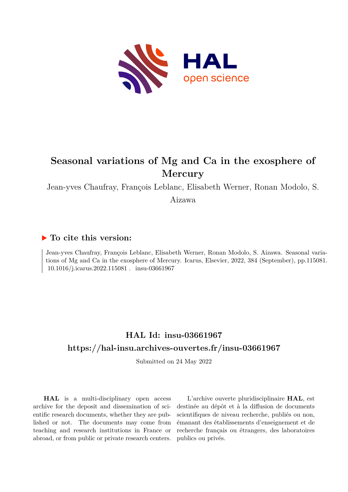

# **Seasonal variations of Mg and Ca in the exosphere of Mercury**

Jean-yves Chaufray, François Leblanc, Elisabeth Werner, Ronan Modolo, S.

Aizawa

## **To cite this version:**

Jean-yves Chaufray, François Leblanc, Elisabeth Werner, Ronan Modolo, S. Aizawa. Seasonal variations of Mg and Ca in the exosphere of Mercury. Icarus, Elsevier, 2022, 384 (September), pp.115081. 10.1016/j.icarus.2022.115081 . insu-03661967

## **HAL Id: insu-03661967 <https://hal-insu.archives-ouvertes.fr/insu-03661967>**

Submitted on 24 May 2022

**HAL** is a multi-disciplinary open access archive for the deposit and dissemination of scientific research documents, whether they are published or not. The documents may come from teaching and research institutions in France or abroad, or from public or private research centers.

L'archive ouverte pluridisciplinaire **HAL**, est destinée au dépôt et à la diffusion de documents scientifiques de niveau recherche, publiés ou non, émanant des établissements d'enseignement et de recherche français ou étrangers, des laboratoires publics ou privés.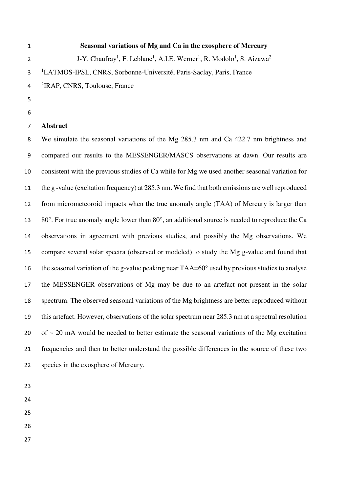**Seasonal variations of Mg and Ca in the exosphere of Mercury**  J-Y. Chaufray<sup>1</sup>, F. Leblanc<sup>1</sup>, A.I.E. Werner<sup>1</sup>, R. Modolo<sup>1</sup>, S. Aizawa<sup>2</sup> 1 LATMOS-IPSL, CNRS, Sorbonne-Université, Paris-Saclay, Paris, France 4 <sup>2</sup> IRAP, CNRS, Toulouse, France

- 
- 

#### **Abstract**

We simulate the seasonal variations of the Mg 285.3 nm and Ca 422.7 nm brightness and compared our results to the MESSENGER/MASCS observations at dawn. Our results are consistent with the previous studies of Ca while for Mg we used another seasonal variation for the g -value (excitation frequency) at 285.3 nm. We find that both emissions are well reproduced from micrometeoroid impacts when the true anomaly angle (TAA) of Mercury is larger than 80°. For true anomaly angle lower than 80°, an additional source is needed to reproduce the Ca observations in agreement with previous studies, and possibly the Mg observations. We compare several solar spectra (observed or modeled) to study the Mg g-value and found that the seasonal variation of the g-value peaking near TAA=60° used by previous studies to analyse the MESSENGER observations of Mg may be due to an artefact not present in the solar spectrum. The observed seasonal variations of the Mg brightness are better reproduced without this artefact. However, observations of the solar spectrum near 285.3 nm at a spectral resolution 20 of  $\sim$  20 mA would be needed to better estimate the seasonal variations of the Mg excitation frequencies and then to better understand the possible differences in the source of these two species in the exosphere of Mercury.

- 
- 
- 
- 
-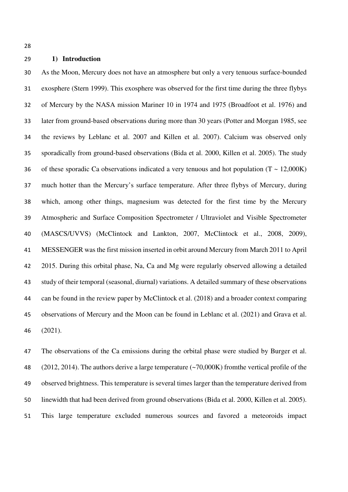#### **1) Introduction**

As the Moon, Mercury does not have an atmosphere but only a very tenuous surface-bounded exosphere (Stern 1999). This exosphere was observed for the first time during the three flybys of Mercury by the NASA mission Mariner 10 in 1974 and 1975 (Broadfoot et al. 1976) and later from ground-based observations during more than 30 years (Potter and Morgan 1985, see the reviews by Leblanc et al. 2007 and Killen et al. 2007). Calcium was observed only sporadically from ground-based observations (Bida et al. 2000, Killen et al. 2005). The study 36 of these sporadic Ca observations indicated a very tenuous and hot population  $(T \sim 12,000K)$ much hotter than the Mercury's surface temperature. After three flybys of Mercury, during which, among other things, magnesium was detected for the first time by the Mercury Atmospheric and Surface Composition Spectrometer / Ultraviolet and Visible Spectrometer (MASCS/UVVS) (McClintock and Lankton, 2007, McClintock et al., 2008, 2009), MESSENGER was the first mission inserted in orbit around Mercury from March 2011 to April 2015. During this orbital phase, Na, Ca and Mg were regularly observed allowing a detailed study of their temporal (seasonal, diurnal) variations. A detailed summary of these observations can be found in the review paper by McClintock et al. (2018) and a broader context comparing observations of Mercury and the Moon can be found in Leblanc et al. (2021) and Grava et al. (2021).

The observations of the Ca emissions during the orbital phase were studied by Burger et al. (2012, 2014). The authors derive a large temperature (~70,000K) fromthe vertical profile of the observed brightness. This temperature is several times larger than the temperature derived from linewidth that had been derived from ground observations (Bida et al. 2000, Killen et al. 2005). This large temperature excluded numerous sources and favored a meteoroids impact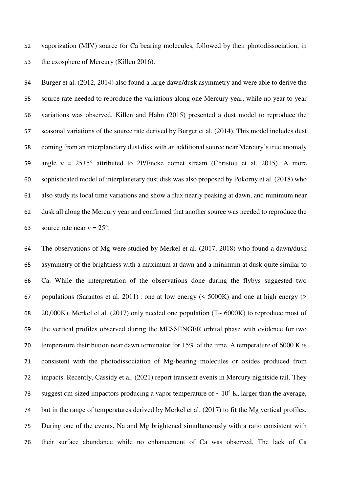vaporization (MIV) source for Ca bearing molecules, followed by their photodissociation, in the exosphere of Mercury (Killen 2016).

Burger et al. (2012, 2014) also found a large dawn/dusk asymmetry and were able to derive the source rate needed to reproduce the variations along one Mercury year, while no year to year variations was observed. Killen and Hahn (2015) presented a dust model to reproduce the seasonal variations of the source rate derived by Burger et al. (2014). This model includes dust coming from an interplanetary dust disk with an additional source near Mercury's true anomaly 59 angle  $v = 25\pm5^{\circ}$  attributed to 2P/Encke comet stream (Christou et al. 2015). A more sophisticated model of interplanetary dust disk was also proposed by Pokorny et al. (2018) who also study its local time variations and show a flux nearly peaking at dawn, and minimum near dusk all along the Mercury year and confirmed that another source was needed to reproduce the 63 source rate near  $v = 25^\circ$ .

The observations of Mg were studied by Merkel et al. (2017, 2018) who found a dawn/dusk asymmetry of the brightness with a maximum at dawn and a minimum at dusk quite similar to Ca. While the interpretation of the observations done during the flybys suggested two 67 populations (Sarantos et al. 2011) : one at low energy ( $\leq$  5000K) and one at high energy ( $\geq$ 68 20,000K), Merkel et al. (2017) only needed one population  $(T \sim 6000K)$  to reproduce most of the vertical profiles observed during the MESSENGER orbital phase with evidence for two temperature distribution near dawn terminator for 15% of the time. A temperature of 6000 K is consistent with the photodissociation of Mg-bearing molecules or oxides produced from impacts. Recently, Cassidy et al. (2021) report transient events in Mercury nightside tail. They 73 suggest cm-sized impactors producing a vapor temperature of  $\sim 10^4$  K, larger than the average, but in the range of temperatures derived by Merkel et al. (2017) to fit the Mg vertical profiles. During one of the events, Na and Mg brightened simultaneously with a ratio consistent with their surface abundance while no enhancement of Ca was observed. The lack of Ca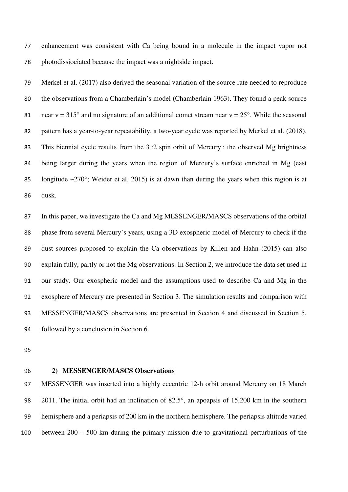enhancement was consistent with Ca being bound in a molecule in the impact vapor not photodissiociated because the impact was a nightside impact.

Merkel et al. (2017) also derived the seasonal variation of the source rate needed to reproduce the observations from a Chamberlain's model (Chamberlain 1963). They found a peak source 81 near  $v = 315^\circ$  and no signature of an additional comet stream near  $v = 25^\circ$ . While the seasonal pattern has a year-to-year repeatability, a two-year cycle was reported by Merkel et al. (2018). This biennial cycle results from the 3 :2 spin orbit of Mercury : the observed Mg brightness being larger during the years when the region of Mercury's surface enriched in Mg (east 85 longitude  $\sim$ 270°; Weider et al. 2015) is at dawn than during the years when this region is at dusk.

In this paper, we investigate the Ca and Mg MESSENGER/MASCS observations of the orbital phase from several Mercury's years, using a 3D exospheric model of Mercury to check if the dust sources proposed to explain the Ca observations by Killen and Hahn (2015) can also explain fully, partly or not the Mg observations. In Section 2, we introduce the data set used in our study. Our exospheric model and the assumptions used to describe Ca and Mg in the exosphere of Mercury are presented in Section 3. The simulation results and comparison with MESSENGER/MASCS observations are presented in Section 4 and discussed in Section 5, followed by a conclusion in Section 6.

#### **2) MESSENGER/MASCS Observations**

MESSENGER was inserted into a highly eccentric 12-h orbit around Mercury on 18 March 2011. The initial orbit had an inclination of 82.5°, an apoapsis of 15,200 km in the southern hemisphere and a periapsis of 200 km in the northern hemisphere. The periapsis altitude varied between 200 – 500 km during the primary mission due to gravitational perturbations of the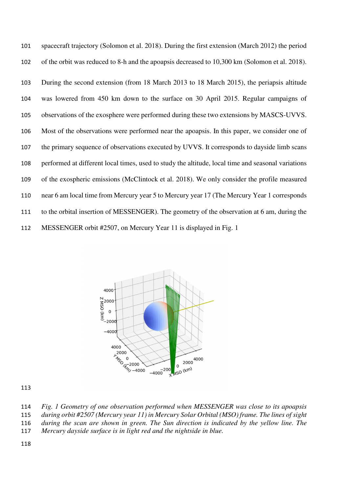spacecraft trajectory (Solomon et al. 2018). During the first extension (March 2012) the period of the orbit was reduced to 8-h and the apoapsis decreased to 10,300 km (Solomon et al. 2018).

During the second extension (from 18 March 2013 to 18 March 2015), the periapsis altitude was lowered from 450 km down to the surface on 30 April 2015. Regular campaigns of observations of the exosphere were performed during these two extensions by MASCS-UVVS. Most of the observations were performed near the apoapsis. In this paper, we consider one of the primary sequence of observations executed by UVVS. It corresponds to dayside limb scans performed at different local times, used to study the altitude, local time and seasonal variations of the exospheric emissions (McClintock et al. 2018). We only consider the profile measured near 6 am local time from Mercury year 5 to Mercury year 17 (The Mercury Year 1 corresponds to the orbital insertion of MESSENGER). The geometry of the observation at 6 am, during the MESSENGER orbit #2507, on Mercury Year 11 is displayed in Fig. 1



*Fig. 1 Geometry of one observation performed when MESSENGER was close to its apoapsis during orbit #2507 (Mercury year 11) in Mercury Solar Orbital (MSO) frame. The lines of sight during the scan are shown in green. The Sun direction is indicated by the yellow line. The* 

- *Mercury dayside surface is in light red and the nightside in blue.*
-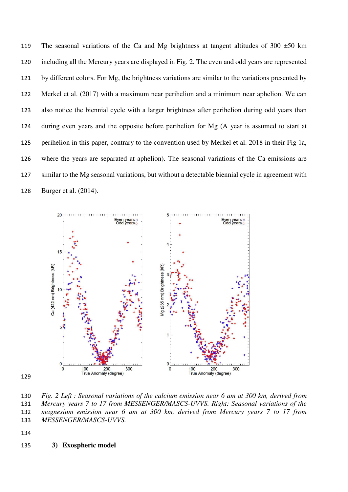119 The seasonal variations of the Ca and Mg brightness at tangent altitudes of 300  $\pm$ 50 km including all the Mercury years are displayed in Fig. 2. The even and odd years are represented by different colors. For Mg, the brightness variations are similar to the variations presented by Merkel et al. (2017) with a maximum near perihelion and a minimum near aphelion. We can also notice the biennial cycle with a larger brightness after perihelion during odd years than during even years and the opposite before perihelion for Mg (A year is assumed to start at perihelion in this paper, contrary to the convention used by Merkel et al. 2018 in their Fig 1a, where the years are separated at aphelion). The seasonal variations of the Ca emissions are similar to the Mg seasonal variations, but without a detectable biennial cycle in agreement with Burger et al. (2014).



*Fig. 2 Left : Seasonal variations of the calcium emission near 6 am at 300 km, derived from Mercury years 7 to 17 from MESSENGER/MASCS-UVVS. Right: Seasonal variations of the magnesium emission near 6 am at 300 km, derived from Mercury years 7 to 17 from MESSENGER/MASCS-UVVS.* 

**3) Exospheric model**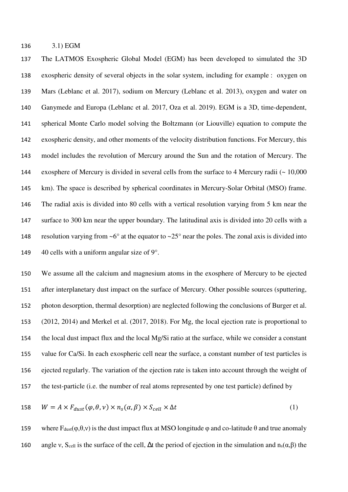3.1) EGM

The LATMOS Exospheric Global Model (EGM) has been developed to simulated the 3D exospheric density of several objects in the solar system, including for example : oxygen on Mars (Leblanc et al. 2017), sodium on Mercury (Leblanc et al. 2013), oxygen and water on Ganymede and Europa (Leblanc et al. 2017, Oza et al. 2019). EGM is a 3D, time-dependent, spherical Monte Carlo model solving the Boltzmann (or Liouville) equation to compute the exospheric density, and other moments of the velocity distribution functions. For Mercury, this model includes the revolution of Mercury around the Sun and the rotation of Mercury. The exosphere of Mercury is divided in several cells from the surface to 4 Mercury radii (~ 10,000 km). The space is described by spherical coordinates in Mercury-Solar Orbital (MSO) frame. The radial axis is divided into 80 cells with a vertical resolution varying from 5 km near the surface to 300 km near the upper boundary. The latitudinal axis is divided into 20 cells with a 148 resolution varying from  $\sim 6^{\circ}$  at the equator to  $\sim 25^{\circ}$  near the poles. The zonal axis is divided into 149  $\,$  40 cells with a uniform angular size of 9 $\degree$ .

We assume all the calcium and magnesium atoms in the exosphere of Mercury to be ejected after interplanetary dust impact on the surface of Mercury. Other possible sources (sputtering, photon desorption, thermal desorption) are neglected following the conclusions of Burger et al. (2012, 2014) and Merkel et al. (2017, 2018). For Mg, the local ejection rate is proportional to the local dust impact flux and the local Mg/Si ratio at the surface, while we consider a constant value for Ca/Si. In each exospheric cell near the surface, a constant number of test particles is ejected regularly. The variation of the ejection rate is taken into account through the weight of the test-particle (i.e. the number of real atoms represented by one test particle) defined by

158 
$$
W = A \times F_{dust}(\varphi, \theta, \nu) \times n_s(\alpha, \beta) \times S_{cell} \times \Delta t
$$
 (1)

159 where  $F_{dust}(\varphi,\theta,v)$  is the dust impact flux at MSO longitude  $\varphi$  and co-latitude  $\theta$  and true anomaly 160 angle v, S<sub>cell</sub> is the surface of the cell,  $\Delta t$  the period of ejection in the simulation and n<sub>s</sub>( $\alpha$ , $\beta$ ) the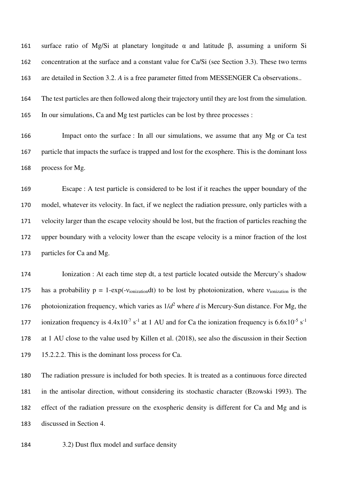surface ratio of Mg/Si at planetary longitude α and latitude β, assuming a uniform Si concentration at the surface and a constant value for Ca/Si (see Section 3.3). These two terms are detailed in Section 3.2. *A* is a free parameter fitted from MESSENGER Ca observations..

The test particles are then followed along their trajectory until they are lost from the simulation. In our simulations, Ca and Mg test particles can be lost by three processes :

Impact onto the surface : In all our simulations, we assume that any Mg or Ca test particle that impacts the surface is trapped and lost for the exosphere. This is the dominant loss process for Mg.

Escape : A test particle is considered to be lost if it reaches the upper boundary of the model, whatever its velocity. In fact, if we neglect the radiation pressure, only particles with a velocity larger than the escape velocity should be lost, but the fraction of particles reaching the upper boundary with a velocity lower than the escape velocity is a minor fraction of the lost particles for Ca and Mg.

Ionization : At each time step dt, a test particle located outside the Mercury's shadow 175 has a probability  $p = 1-\exp(-v_{ionization}dt)$  to be lost by photoionization, where  $v_{ionization}$  is the 176 photoionization frequency, which varies as  $1/d^2$  where *d* is Mercury-Sun distance. For Mg, the 177 ionization frequency is  $4.4x10^{-7}$  s<sup>-1</sup> at 1 AU and for Ca the ionization frequency is  $6.6x10^{-5}$  s<sup>-1</sup> at 1 AU close to the value used by Killen et al. (2018), see also the discussion in their Section 15.2.2.2. This is the dominant loss process for Ca.

The radiation pressure is included for both species. It is treated as a continuous force directed in the antisolar direction, without considering its stochastic character (Bzowski 1993). The effect of the radiation pressure on the exospheric density is different for Ca and Mg and is discussed in Section 4.

3.2) Dust flux model and surface density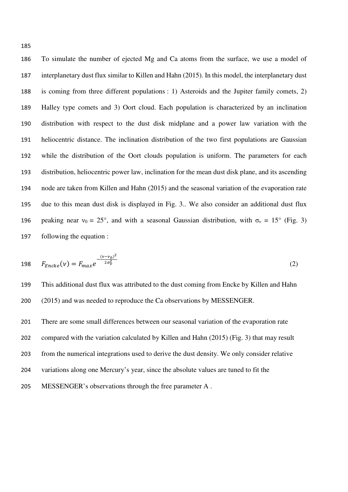To simulate the number of ejected Mg and Ca atoms from the surface, we use a model of interplanetary dust flux similar to Killen and Hahn (2015). In this model, the interplanetary dust is coming from three different populations : 1) Asteroids and the Jupiter family comets, 2) Halley type comets and 3) Oort cloud. Each population is characterized by an inclination distribution with respect to the dust disk midplane and a power law variation with the heliocentric distance. The inclination distribution of the two first populations are Gaussian while the distribution of the Oort clouds population is uniform. The parameters for each distribution, heliocentric power law, inclination for the mean dust disk plane, and its ascending node are taken from Killen and Hahn (2015) and the seasonal variation of the evaporation rate due to this mean dust disk is displayed in Fig. 3.. We also consider an additional dust flux 196 peaking near  $v_0 = 25^\circ$ , and with a seasonal Gaussian distribution, with  $\sigma_v = 15^\circ$  (Fig. 3) following the equation :

198 
$$
F_{Encke}(v) = F_{max}e^{-\frac{(v-v_0)^2}{2\sigma_v^2}}
$$
 (2)

This additional dust flux was attributed to the dust coming from Encke by Killen and Hahn (2015) and was needed to reproduce the Ca observations by MESSENGER.

There are some small differences between our seasonal variation of the evaporation rate compared with the variation calculated by Killen and Hahn (2015) (Fig. 3) that may result from the numerical integrations used to derive the dust density. We only consider relative variations along one Mercury's year, since the absolute values are tuned to fit the MESSENGER's observations through the free parameter A .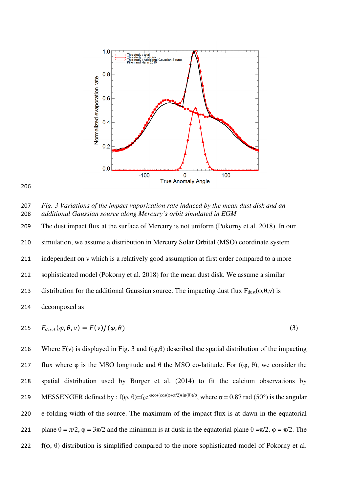

206

207 *Fig. 3 Variations of the impact vaporization rate induced by the mean dust disk and an*  208 *additional Gaussian source along Mercury's orbit simulated in EGM* 

The dust impact flux at the surface of Mercury is not uniform (Pokorny et al. 2018). In our simulation, we assume a distribution in Mercury Solar Orbital (MSO) coordinate system 211 independent on *v* which is a relatively good assumption at first order compared to a more sophisticated model (Pokorny et al. 2018) for the mean dust disk. We assume a similar 213 distribution for the additional Gaussian source. The impacting dust flux  $F_{dust}(\varphi,\theta,\nu)$  is decomposed as

$$
P_{dust}(\varphi, \theta, \nu) = F(\nu)f(\varphi, \theta)
$$
\n(3)

216 Where  $F(y)$  is displayed in Fig. 3 and  $f(\varphi, \theta)$  described the spatial distribution of the impacting 217 flux where φ is the MSO longitude and  $θ$  the MSO co-latitude. For f(φ,  $θ$ ), we consider the 218 spatial distribution used by Burger et al. (2014) to fit the calcium observations by 219 MESSENGER defined by :  $f(\varphi, \theta) = f_0 e^{-\alpha \cos(\cos(\varphi + \pi/2) \sin(\theta))/\sigma}$ , where σ = 0.87 rad (50°) is the angular 220 e-folding width of the source. The maximum of the impact flux is at dawn in the equatorial 221 plane  $\theta = \pi/2$ ,  $\varphi = 3\pi/2$  and the minimum is at dusk in the equatorial plane  $\theta = \pi/2$ ,  $\varphi = \pi/2$ . The 222  $f(\varphi, \theta)$  distribution is simplified compared to the more sophisticated model of Pokorny et al.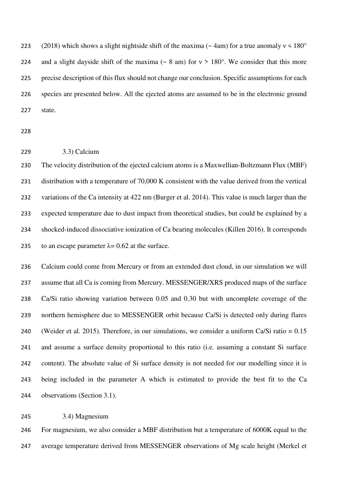223 (2018) which shows a slight nightside shift of the maxima (~ 4am) for a true anomaly  $v < 180^\circ$ 224 and a slight dayside shift of the maxima ( $\sim 8$  am) for  $v > 180^\circ$ . We consider that this more precise description of this flux should not change our conclusion. Specific assumptions for each species are presented below. All the ejected atoms are assumed to be in the electronic ground state.

#### 3.3) Calcium

The velocity distribution of the ejected calcium atoms is a Maxwellian-Boltzmann Flux (MBF) distribution with a temperature of 70,000 K consistent with the value derived from the vertical variations of the Ca intensity at 422 nm (Burger et al. 2014). This value is much larger than the expected temperature due to dust impact from theoretical studies, but could be explained by a shocked-induced dissociative ionization of Ca bearing molecules (Killen 2016). It corresponds 235 to an escape parameter  $\lambda$ = 0.62 at the surface.

Calcium could come from Mercury or from an extended dust cloud, in our simulation we will assume that all Ca is coming from Mercury. MESSENGER/XRS produced maps of the surface Ca/Si ratio showing variation between 0.05 and 0.30 but with uncomplete coverage of the northern hemisphere due to MESSENGER orbit because Ca/Si is detected only during flares (Weider et al. 2015). Therefore, in our simulations, we consider a uniform Ca/Si ratio = 0.15 and assume a surface density proportional to this ratio (i.e. assuming a constant Si surface content). The absolute value of Si surface density is not needed for our modelling since it is being included in the parameter A which is estimated to provide the best fit to the Ca observations (Section 3.1).

#### 3.4) Magnesium

For magnesium, we also consider a MBF distribution but a temperature of 6000K equal to the average temperature derived from MESSENGER observations of Mg scale height (Merkel et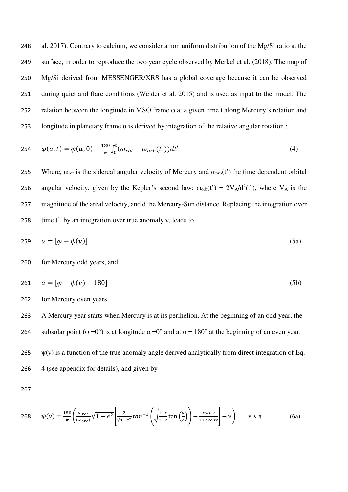al. 2017). Contrary to calcium, we consider a non uniform distribution of the Mg/Si ratio at the surface, in order to reproduce the two year cycle observed by Merkel et al. (2018). The map of Mg/Si derived from MESSENGER/XRS has a global coverage because it can be observed during quiet and flare conditions (Weider et al. 2015) and is used as input to the model. The relation between the longitude in MSO frame φ at a given time t along Mercury's rotation and longitude in planetary frame α is derived by integration of the relative angular rotation :

254 
$$
\varphi(\alpha, t) = \varphi(\alpha, 0) + \frac{180}{\pi} \int_0^t (\omega_{rot} - \omega_{orb}(t')) dt'
$$
 (4)

255 Where,  $\omega_{\text{rot}}$  is the sidereal angular velocity of Mercury and  $\omega_{\text{orb}}(t)$  the time dependent orbital 256 angular velocity, given by the Kepler's second law:  $\omega_{orb}(t') = 2V_A/d^2(t')$ , where V<sub>A</sub> is the 257 magnitude of the areal velocity, and d the Mercury-Sun distance. Replacing the integration over 258 time t', by an integration over true anomaly ν, leads to

$$
259 \quad \alpha = [\varphi - \psi(\nu)] \tag{5a}
$$

#### 260 for Mercury odd years, and

$$
261 \quad \alpha = [\varphi - \psi(\nu) - 180] \tag{5b}
$$

262 for Mercury even years

263 A Mercury year starts when Mercury is at its perihelion. At the beginning of an odd year, the 264 subsolar point (φ =0°) is at longitude  $\alpha = 0^\circ$  and at  $\alpha = 180^\circ$  at the beginning of an even year.

265  $\psi(v)$  is a function of the true anomaly angle derived analytically from direct integration of Eq. 266 4 (see appendix for details), and given by

267

$$
268 \qquad \psi(\nu) = \frac{180}{\pi} \left( \frac{\omega_{rot}}{\langle \omega_{orb} \rangle} \sqrt{1 - e^2} \left[ \frac{2}{\sqrt{1 - e^2}} \tan^{-1} \left( \sqrt{\frac{1 - e}{1 + e}} \tan \left( \frac{\nu}{2} \right) \right) - \frac{e \sin \nu}{1 + e \cos \nu} \right] - \nu \right) \qquad \nu < \pi
$$
 (6a)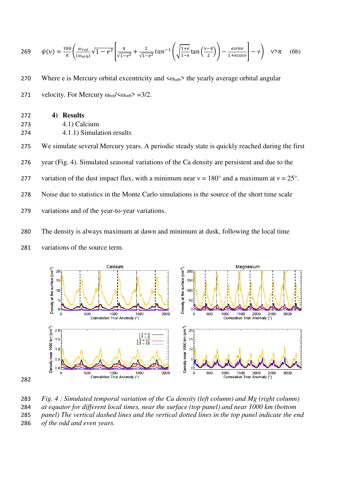$$
269 \qquad \psi(\nu) = \frac{180}{\pi} \left( \frac{\omega_{rot}}{\langle \omega_{orb} \rangle} \sqrt{1 - e^2} \left[ \frac{\pi}{\sqrt{1 - e^2}} + \frac{2}{\sqrt{1 - e^2}} \tan^{-1} \left( \sqrt{\frac{1 + e}{1 - e}} \tan \left( \frac{\nu - \pi}{2} \right) \right) - \frac{e \sin \nu}{1 + e \cos \nu} \right] - \nu \right) \quad \nu > \pi \tag{6b}
$$

270 Where e is Mercury orbital excentricity and  $\langle \omega_{\text{orb}} \rangle$  the yearly average orbital angular

271 velocity. For Mercury  $\omega_{\text{rot}}/\langle \omega_{\text{orb}} \rangle = 3/2$ .

| 272 | 4) Results                |
|-----|---------------------------|
| 273 | 4.1) Calcium              |
| 274 | 4.1.1) Simulation results |

275 We simulate several Mercury years. A periodic steady state is quickly reached during the first

- 276 year (Fig. 4). Simulated seasonal variations of the Ca density are persistent and due to the
- 277 variation of the dust impact flux, with a minimum near  $v = 180^\circ$  and a maximum at  $v = 25^\circ$ .
- 278 Noise due to statistics in the Monte Carlo simulations is the source of the short time scale
- 279 variations and of the year-to-year variations.
- 280 The density is always maximum at dawn and minimum at dusk, following the local time
- 281 variations of the source term.



283 *Fig. 4 : Simulated temporal variation of the Ca density (left column) and Mg (right column)* 

284 *at equator for different local times, near the surface (top panel) and near 1000 km (bottom* 

285 *panel) The vertical dashed lines and the vertical dotted lines in the top panel indicate the end*  286 *of the odd and even years.*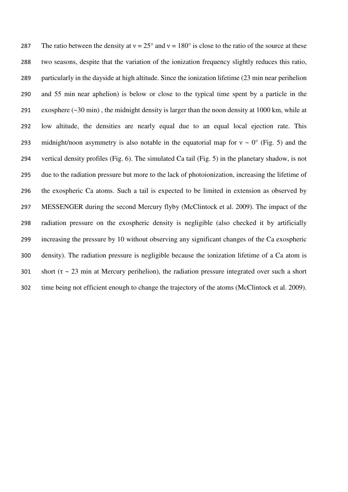287 The ratio between the density at  $v = 25^{\circ}$  and  $v = 180^{\circ}$  is close to the ratio of the source at these two seasons, despite that the variation of the ionization frequency slightly reduces this ratio, particularly in the dayside at high altitude. Since the ionization lifetime (23 min near perihelion and 55 min near aphelion) is below or close to the typical time spent by a particle in the exosphere (~30 min) , the midnight density is larger than the noon density at 1000 km, while at low altitude, the densities are nearly equal due to an equal local ejection rate. This 293 midnight/noon asymmetry is also notable in the equatorial map for  $v \sim 0^{\circ}$  (Fig. 5) and the vertical density profiles (Fig. 6). The simulated Ca tail (Fig. 5) in the planetary shadow, is not due to the radiation pressure but more to the lack of photoionization, increasing the lifetime of the exospheric Ca atoms. Such a tail is expected to be limited in extension as observed by MESSENGER during the second Mercury flyby (McClintock et al. 2009). The impact of the radiation pressure on the exospheric density is negligible (also checked it by artificially increasing the pressure by 10 without observing any significant changes of the Ca exospheric density). The radiation pressure is negligible because the ionization lifetime of a Ca atom is 301 short ( $\tau \sim 23$  min at Mercury perihelion), the radiation pressure integrated over such a short time being not efficient enough to change the trajectory of the atoms (McClintock et al. 2009).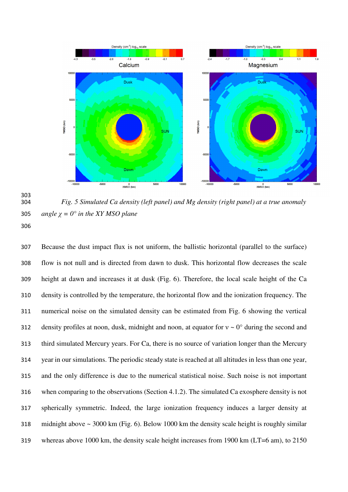

 *Fig. 5 Simulated Ca density (left panel) and Mg density (right panel) at a true anomaly*  305 *angle*  $\chi$  *= 0° in the XY MSO plane* 

Because the dust impact flux is not uniform, the ballistic horizontal (parallel to the surface) flow is not null and is directed from dawn to dusk. This horizontal flow decreases the scale height at dawn and increases it at dusk (Fig. 6). Therefore, the local scale height of the Ca density is controlled by the temperature, the horizontal flow and the ionization frequency. The numerical noise on the simulated density can be estimated from Fig. 6 showing the vertical 312 density profiles at noon, dusk, midnight and noon, at equator for  $v \sim 0^{\circ}$  during the second and third simulated Mercury years. For Ca, there is no source of variation longer than the Mercury year in our simulations. The periodic steady state is reached at all altitudes in less than one year, and the only difference is due to the numerical statistical noise. Such noise is not important when comparing to the observations (Section 4.1.2). The simulated Ca exosphere density is not spherically symmetric. Indeed, the large ionization frequency induces a larger density at midnight above ~ 3000 km (Fig. 6). Below 1000 km the density scale height is roughly similar whereas above 1000 km, the density scale height increases from 1900 km (LT=6 am), to 2150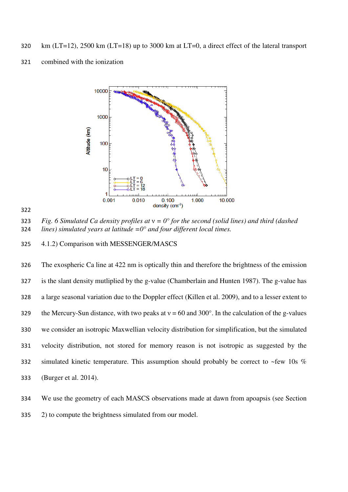- km (LT=12), 2500 km (LT=18) up to 3000 km at LT=0, a direct effect of the lateral transport
- combined with the ionization





*Fig. 6 Simulated Ca density profiles at* ν *= 0° for the second (solid lines) and third (dashed lines) simulated years at latitude =0° and four different local times.* 

4.1.2) Comparison with MESSENGER/MASCS

The exospheric Ca line at 422 nm is optically thin and therefore the brightness of the emission is the slant density mutliplied by the g-value (Chamberlain and Hunten 1987). The g-value has a large seasonal variation due to the Doppler effect (Killen et al. 2009), and to a lesser extent to 329 the Mercury-Sun distance, with two peaks at  $v = 60$  and 300°. In the calculation of the g-values we consider an isotropic Maxwellian velocity distribution for simplification, but the simulated velocity distribution, not stored for memory reason is not isotropic as suggested by the simulated kinetic temperature. This assumption should probably be correct to ~few 10s % (Burger et al. 2014).

We use the geometry of each MASCS observations made at dawn from apoapsis (see Section 2) to compute the brightness simulated from our model.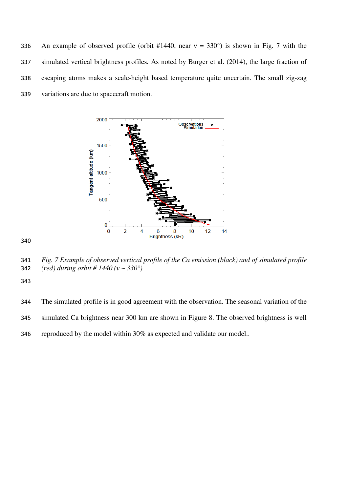336 An example of observed profile (orbit #1440, near  $v = 330^{\circ}$ ) is shown in Fig. 7 with the simulated vertical brightness profiles*.* As noted by Burger et al. (2014), the large fraction of escaping atoms makes a scale-height based temperature quite uncertain. The small zig-zag variations are due to spacecraft motion.



*Fig. 7 Example of observed vertical profile of the Ca emission (black) and of simulated profile (red) during orbit # 1440 (ν ~ 330°)* 

The simulated profile is in good agreement with the observation. The seasonal variation of the simulated Ca brightness near 300 km are shown in Figure 8. The observed brightness is well reproduced by the model within 30% as expected and validate our model..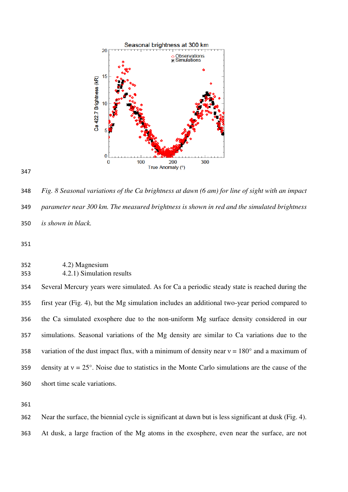

*Fig. 8 Seasonal variations of the Ca brightness at dawn (6 am) for line of sight with an impact parameter near 300 km. The measured brightness is shown in red and the simulated brightness is shown in black.* 

| 352 | 4.2) Magnesium            |
|-----|---------------------------|
| 353 | 4.2.1) Simulation results |

Several Mercury years were simulated. As for Ca a periodic steady state is reached during the first year (Fig. 4), but the Mg simulation includes an additional two-year period compared to the Ca simulated exosphere due to the non-uniform Mg surface density considered in our simulations. Seasonal variations of the Mg density are similar to Ca variations due to the 358 variation of the dust impact flux, with a minimum of density near  $v = 180^\circ$  and a maximum of 359 density at  $v = 25^\circ$ . Noise due to statistics in the Monte Carlo simulations are the cause of the short time scale variations.

Near the surface, the biennial cycle is significant at dawn but is less significant at dusk (Fig. 4). At dusk, a large fraction of the Mg atoms in the exosphere, even near the surface, are not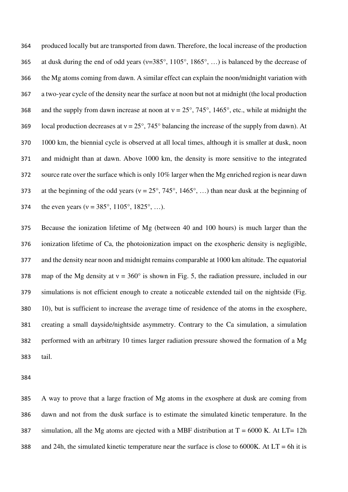produced locally but are transported from dawn. Therefore, the local increase of the production 365 at dusk during the end of odd years ( $v=385^\circ$ , 1105°, 1865°, ...) is balanced by the decrease of the Mg atoms coming from dawn. A similar effect can explain the noon/midnight variation with a two-year cycle of the density near the surface at noon but not at midnight (the local production 368 and the supply from dawn increase at noon at  $v = 25^{\circ}$ , 745°, 1465°, etc., while at midnight the 369 local production decreases at  $v = 25^{\circ}$ , 745° balancing the increase of the supply from dawn). At 1000 km, the biennial cycle is observed at all local times, although it is smaller at dusk, noon and midnight than at dawn. Above 1000 km, the density is more sensitive to the integrated source rate over the surface which is only 10% larger when the Mg enriched region is near dawn 373 at the beginning of the odd years ( $v = 25^\circ$ , 745°, 1465°, ...) than near dusk at the beginning of 374 the even years ( $v = 385^\circ$ , 1105°, 1825°, ...).

Because the ionization lifetime of Mg (between 40 and 100 hours) is much larger than the ionization lifetime of Ca, the photoionization impact on the exospheric density is negligible, and the density near noon and midnight remains comparable at 1000 km altitude. The equatorial 378 map of the Mg density at  $v = 360^\circ$  is shown in Fig. 5, the radiation pressure, included in our simulations is not efficient enough to create a noticeable extended tail on the nightside (Fig. 10), but is sufficient to increase the average time of residence of the atoms in the exosphere, creating a small dayside/nightside asymmetry. Contrary to the Ca simulation, a simulation performed with an arbitrary 10 times larger radiation pressure showed the formation of a Mg tail.

A way to prove that a large fraction of Mg atoms in the exosphere at dusk are coming from dawn and not from the dusk surface is to estimate the simulated kinetic temperature. In the 387 simulation, all the Mg atoms are ejected with a MBF distribution at  $T = 6000$  K. At LT= 12h 388 and 24h, the simulated kinetic temperature near the surface is close to 6000K. At  $LT = 6h$  it is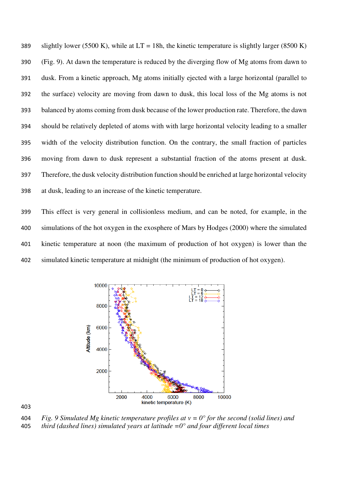389 slightly lower (5500 K), while at  $LT = 18h$ , the kinetic temperature is slightly larger (8500 K) (Fig. 9). At dawn the temperature is reduced by the diverging flow of Mg atoms from dawn to dusk. From a kinetic approach, Mg atoms initially ejected with a large horizontal (parallel to the surface) velocity are moving from dawn to dusk, this local loss of the Mg atoms is not balanced by atoms coming from dusk because of the lower production rate. Therefore, the dawn should be relatively depleted of atoms with with large horizontal velocity leading to a smaller width of the velocity distribution function. On the contrary, the small fraction of particles moving from dawn to dusk represent a substantial fraction of the atoms present at dusk. Therefore, the dusk velocity distribution function should be enriched at large horizontal velocity at dusk, leading to an increase of the kinetic temperature.

This effect is very general in collisionless medium, and can be noted, for example, in the simulations of the hot oxygen in the exosphere of Mars by Hodges (2000) where the simulated kinetic temperature at noon (the maximum of production of hot oxygen) is lower than the simulated kinetic temperature at midnight (the minimum of production of hot oxygen).



*Fig. 9 Simulated Mg kinetic temperature profiles at ν = 0° for the second (solid lines) and third (dashed lines) simulated years at latitude =0° and four different local times*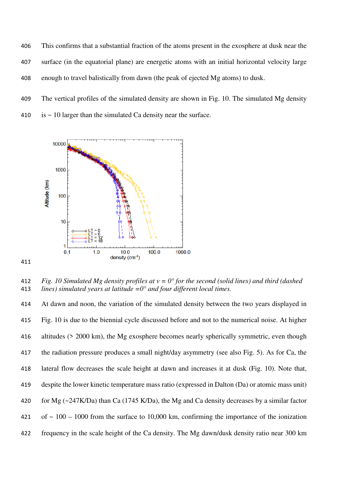This confirms that a substantial fraction of the atoms present in the exosphere at dusk near the surface (in the equatorial plane) are energetic atoms with an initial horizontal velocity large enough to travel balistically from dawn (the peak of ejected Mg atoms) to dusk.

- The vertical profiles of the simulated density are shown in Fig. 10. The simulated Mg density
- 410 is  $\sim$  10 larger than the simulated Ca density near the surface.



*Fig. 10 Simulated Mg density profiles at ν = 0° for the second (solid lines) and third (dashed lines) simulated years at latitude =0° and four different local times.* 

At dawn and noon, the variation of the simulated density between the two years displayed in Fig. 10 is due to the biennial cycle discussed before and not to the numerical noise. At higher 416 altitudes (> 2000 km), the Mg exosphere becomes nearly spherically symmetric, even though the radiation pressure produces a small night/day asymmetry (see also Fig. 5). As for Ca, the lateral flow decreases the scale height at dawn and increases it at dusk (Fig. 10). Note that, despite the lower kinetic temperature mass ratio (expressed in Dalton (Da) or atomic mass unit) for Mg (~247K/Da) than Ca (1745 K/Da), the Mg and Ca density decreases by a similar factor 421 of  $\sim$  100 – 1000 from the surface to 10,000 km, confirming the importance of the ionization frequency in the scale height of the Ca density. The Mg dawn/dusk density ratio near 300 km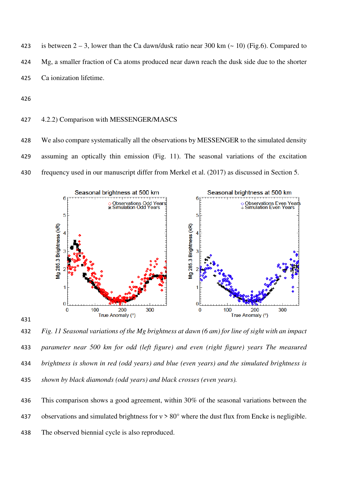423 is between  $2 - 3$ , lower than the Ca dawn/dusk ratio near 300 km ( $\sim 10$ ) (Fig.6). Compared to Mg, a smaller fraction of Ca atoms produced near dawn reach the dusk side due to the shorter Ca ionization lifetime.

### 4.2.2) Comparison with MESSENGER/MASCS

428 We also compare systematically all the observations by MESSENGER to the simulated density assuming an optically thin emission (Fig. 11). The seasonal variations of the excitation frequency used in our manuscript differ from Merkel et al. (2017) as discussed in Section 5.



*Fig. 11 Seasonal variations of the Mg brightness at dawn (6 am) for line of sight with an impact parameter near 500 km for odd (left figure) and even (right figure) years The measured brightness is shown in red (odd years) and blue (even years) and the simulated brightness is shown by black diamonds (odd years) and black crosses (even years).* 

This comparison shows a good agreement, within 30% of the seasonal variations between the

437 observations and simulated brightness for  $v > 80^\circ$  where the dust flux from Encke is negligible.

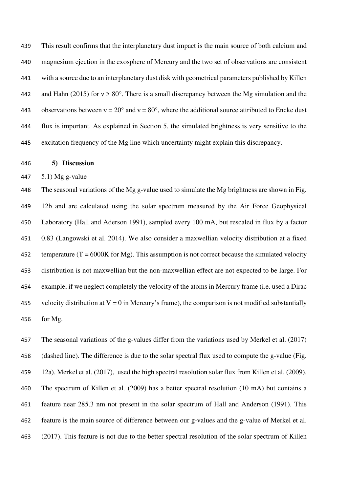This result confirms that the interplanetary dust impact is the main source of both calcium and magnesium ejection in the exosphere of Mercury and the two set of observations are consistent with a source due to an interplanetary dust disk with geometrical parameters published by Killen 442 and Hahn (2015) for  $v > 80^\circ$ . There is a small discrepancy between the Mg simulation and the 443 observations between  $v = 20^{\circ}$  and  $v = 80^{\circ}$ , where the additional source attributed to Encke dust flux is important. As explained in Section 5, the simulated brightness is very sensitive to the excitation frequency of the Mg line which uncertainty might explain this discrepancy.

**5) Discussion** 

5.1) Mg g-value

The seasonal variations of the Mg g-value used to simulate the Mg brightness are shown in Fig. 12b and are calculated using the solar spectrum measured by the Air Force Geophysical Laboratory (Hall and Aderson 1991), sampled every 100 mA, but rescaled in flux by a factor 0.83 (Langowski et al. 2014). We also consider a maxwellian velocity distribution at a fixed 452 temperature ( $T = 6000K$  for Mg). This assumption is not correct because the simulated velocity distribution is not maxwellian but the non-maxwellian effect are not expected to be large. For example, if we neglect completely the velocity of the atoms in Mercury frame (i.e. used a Dirac 455 velocity distribution at  $V = 0$  in Mercury's frame), the comparison is not modified substantially for Mg.

The seasonal variations of the g-values differ from the variations used by Merkel et al. (2017) (dashed line). The difference is due to the solar spectral flux used to compute the g-value (Fig. 12a). Merkel et al. (2017), used the high spectral resolution solar flux from Killen et al. (2009). The spectrum of Killen et al. (2009) has a better spectral resolution (10 mA) but contains a feature near 285.3 nm not present in the solar spectrum of Hall and Anderson (1991). This feature is the main source of difference between our g-values and the g-value of Merkel et al. (2017). This feature is not due to the better spectral resolution of the solar spectrum of Killen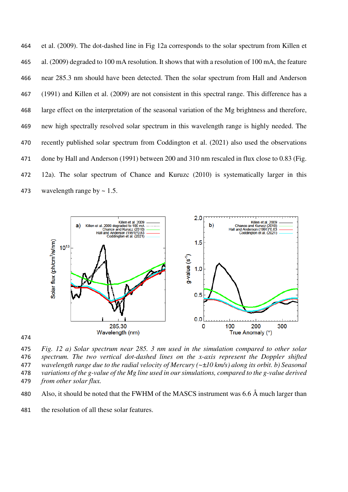et al. (2009). The dot-dashed line in Fig 12a corresponds to the solar spectrum from Killen et al. (2009) degraded to 100 mA resolution. It shows that with a resolution of 100 mA, the feature near 285.3 nm should have been detected. Then the solar spectrum from Hall and Anderson (1991) and Killen et al. (2009) are not consistent in this spectral range. This difference has a large effect on the interpretation of the seasonal variation of the Mg brightness and therefore, new high spectrally resolved solar spectrum in this wavelength range is highly needed. The recently published solar spectrum from Coddington et al. (2021) also used the observations done by Hall and Anderson (1991) between 200 and 310 nm rescaled in flux close to 0.83 (Fig. 12a). The solar spectrum of Chance and Kuruzc (2010) is systematically larger in this 473 wavelength range by  $\sim 1.5$ .





*Fig. 12 a) Solar spectrum near 285. 3 nm used in the simulation compared to other solar spectrum. The two vertical dot-dashed lines on the x-axis represent the Doppler shifted wavelength range due to the radial velocity of Mercury (~±10 km/s) along its orbit. b) Seasonal variations of the g-value of the Mg line used in our simulations, compared to the g-value derived from other solar flux.* 

- 480 Also, it should be noted that the FWHM of the MASCS instrument was  $6.6 \text{ Å}$  much larger than
- the resolution of all these solar features.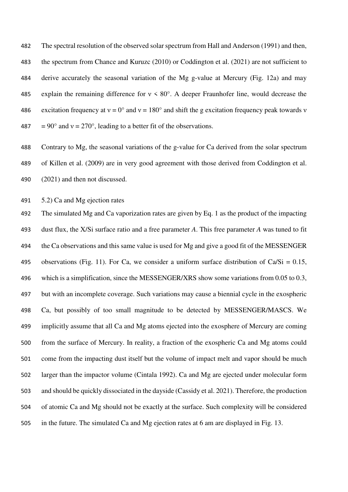The spectral resolution of the observed solar spectrum from Hall and Anderson (1991) and then, the spectrum from Chance and Kuruzc (2010) or Coddington et al. (2021) are not sufficient to derive accurately the seasonal variation of the Mg g-value at Mercury (Fig. 12a) and may 485 explain the remaining difference for  $v \le 80^\circ$ . A deeper Fraunhofer line, would decrease the 486 excitation frequency at  $v = 0^\circ$  and  $v = 180^\circ$  and shift the g excitation frequency peak towards v 487 =  $90^{\circ}$  and  $v = 270^{\circ}$ , leading to a better fit of the observations.

Contrary to Mg, the seasonal variations of the g-value for Ca derived from the solar spectrum of Killen et al. (2009) are in very good agreement with those derived from Coddington et al. (2021) and then not discussed.

5.2) Ca and Mg ejection rates

The simulated Mg and Ca vaporization rates are given by Eq. 1 as the product of the impacting dust flux, the X/Si surface ratio and a free parameter *A*. This free parameter *A* was tuned to fit 494 the Ca observations and this same value is used for Mg and give a good fit of the MESSENGER 495 observations (Fig. 11). For Ca, we consider a uniform surface distribution of Ca/Si =  $0.15$ , 496 which is a simplification, since the MESSENGER/XRS show some variations from 0.05 to 0.3, but with an incomplete coverage. Such variations may cause a biennial cycle in the exospheric Ca, but possibly of too small magnitude to be detected by MESSENGER/MASCS. We implicitly assume that all Ca and Mg atoms ejected into the exosphere of Mercury are coming from the surface of Mercury. In reality, a fraction of the exospheric Ca and Mg atoms could come from the impacting dust itself but the volume of impact melt and vapor should be much larger than the impactor volume (Cintala 1992). Ca and Mg are ejected under molecular form and should be quickly dissociated in the dayside (Cassidy et al. 2021). Therefore, the production of atomic Ca and Mg should not be exactly at the surface. Such complexity will be considered in the future. The simulated Ca and Mg ejection rates at 6 am are displayed in Fig. 13.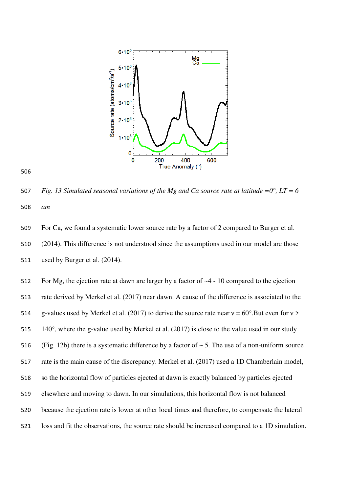

#### 

*Fig. 13 Simulated seasonal variations of the Mg and Ca source rate at latitude =0°, LT = 6 am* 

For Ca, we found a systematic lower source rate by a factor of 2 compared to Burger et al. (2014). This difference is not understood since the assumptions used in our model are those used by Burger et al. (2014).

For Mg, the ejection rate at dawn are larger by a factor of ~4 - 10 compared to the ejection rate derived by Merkel et al. (2017) near dawn. A cause of the difference is associated to the 514 g-values used by Merkel et al. (2017) to derive the source rate near  $v = 60^{\circ}$ . But even for  $v >$  $140^\circ$ , where the g-value used by Merkel et al. (2017) is close to the value used in our study 516 (Fig. 12b) there is a systematic difference by a factor of  $\sim$  5. The use of a non-uniform source rate is the main cause of the discrepancy. Merkel et al. (2017) used a 1D Chamberlain model, so the horizontal flow of particles ejected at dawn is exactly balanced by particles ejected elsewhere and moving to dawn. In our simulations, this horizontal flow is not balanced because the ejection rate is lower at other local times and therefore, to compensate the lateral loss and fit the observations, the source rate should be increased compared to a 1D simulation.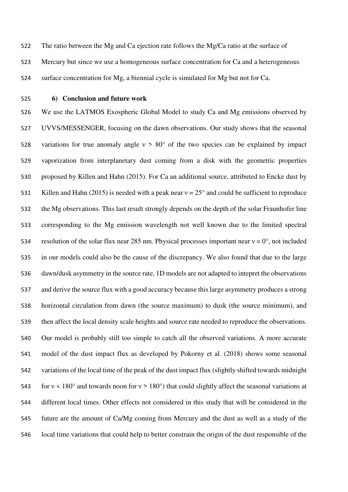- The ratio between the Mg and Ca ejection rate follows the Mg/Ca ratio at the surface of Mercury but since we use a homogeneous surface concentration for Ca and a heterogeneous surface concentration for Mg, a biennial cycle is simulated for Mg but not for Ca.
- 

#### **6) Conclusion and future work**

We use the LATMOS Exospheric Global Model to study Ca and Mg emissions observed by UVVS/MESSENGER, focusing on the dawn observations. Our study shows that the seasonal 528 variations for true anomaly angle  $v > 80^\circ$  of the two species can be explained by impact vaporization from interplanetary dust coming from a disk with the geometric properties proposed by Killen and Hahn (2015). For Ca an additional source, attributed to Encke dust by 531 Killen and Hahn (2015) is needed with a peak near  $v = 25^{\circ}$  and could be sufficient to reproduce the Mg observations. This last result strongly depends on the depth of the solar Fraunhofer line corresponding to the Mg emission wavelength not well known due to the limited spectral 534 resolution of the solar flux near 285 nm. Physical processes important near  $v = 0^\circ$ , not included in our models could also be the cause of the discrepancy. We also found that due to the large dawn/dusk asymmetry in the source rate, 1D models are not adapted to intepret the observations and derive the source flux with a good accuracy because this large asymmetry produces a strong horizontal circulation from dawn (the source maximum) to dusk (the source minimum), and then affect the local density scale heights and source rate needed to reproduce the observations. Our model is probably still too simple to catch all the observed variations. A more accurate model of the dust impact flux as developed by Pokorny et al. (2018) shows some seasonal variations of the local time of the peak of the dust impact flux (slightly shifted towards midnight 543 for  $v < 180^\circ$  and towards noon for  $v > 180^\circ$ ) that could slightly affect the seasonal variations at different local times. Other effects not considered in this study that will be considered in the future are the amount of Ca/Mg coming from Mercury and the dust as well as a study of the local time variations that could help to better constrain the origin of the dust responsible of the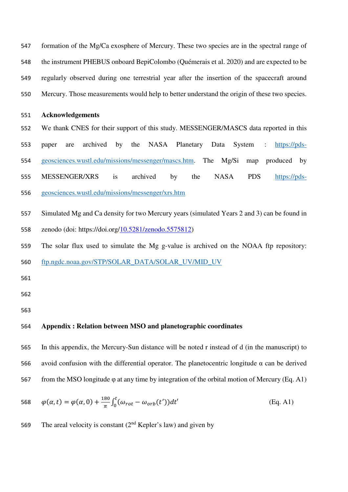formation of the Mg/Ca exosphere of Mercury. These two species are in the spectral range of the instrument PHEBUS onboard BepiColombo (Quémerais et al. 2020) and are expected to be regularly observed during one terrestrial year after the insertion of the spacecraft around Mercury. Those measurements would help to better understand the origin of these two species.

## **Acknowledgements**

We thank CNES for their support of this study. MESSENGER/MASCS data reported in this paper are archived by the NASA Planetary Data System : https://pds-geosciences.wustl.edu/missions/messenger/mascs.htm. The Mg/Si map produced by MESSENGER/XRS is archived by the NASA PDS https://pds-geosciences.wustl.edu/missions/messenger/xrs.htm

Simulated Mg and Ca density for two Mercury years (simulated Years 2 and 3) can be found in zenodo (doi: https://doi.org/10.5281/zenodo.5575812)

The solar flux used to simulate the Mg g-value is archived on the NOAA ftp repository:

ftp.ngdc.noaa.gov/STP/SOLAR\_DATA/SOLAR\_UV/MID\_UV

### **Appendix : Relation between MSO and planetographic coordinates**

In this appendix, the Mercury-Sun distance will be noted r instead of d (in the manuscript) to avoid confusion with the differential operator. The planetocentric longitude α can be derived 567 from the MSO longitude  $\varphi$  at any time by integration of the orbital motion of Mercury (Eq. A1)

568 
$$
\varphi(\alpha, t) = \varphi(\alpha, 0) + \frac{180}{\pi} \int_0^t (\omega_{rot} - \omega_{orb}(t')) dt'
$$
 (Eq. A1)

569 The areal velocity is constant  $(2<sup>nd</sup>$  Kepler's law) and given by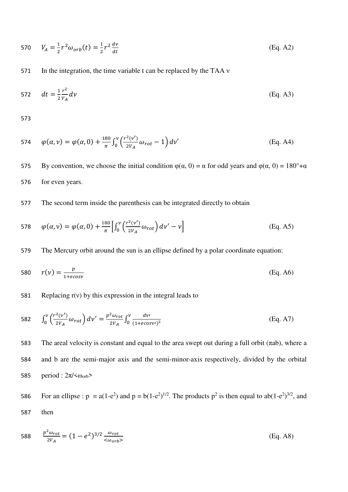570 
$$
V_A = \frac{1}{2}r^2\omega_{orb}(t) = \frac{1}{2}r^2\frac{dv}{dt}
$$
 (Eq. A2)

571 In the integration, the time variable t can be replaced by the TAA ν

572 
$$
dt = \frac{1}{2} \frac{r^2}{V_A} dv
$$
 (Eq. A3)

573

574 
$$
\varphi(\alpha, \nu) = \varphi(\alpha, 0) + \frac{180}{\pi} \int_0^{\nu} \left( \frac{r^2(\nu')}{2V_A} \omega_{rot} - 1 \right) d\nu'
$$
 (Eq. A4)

575 By convention, we choose the initial condition  $\varphi(\alpha, 0) = \alpha$  for odd years and  $\varphi(\alpha, 0) = 180^\circ + \alpha$ 576 for even years.

## 577 The second term inside the parenthesis can be integrated directly to obtain

578 
$$
\varphi(\alpha, \nu) = \varphi(\alpha, 0) + \frac{180}{\pi} \left[ \int_0^{\nu} \left( \frac{r^2(\nu')}{2V_A} \omega_{rot} \right) d\nu' - \nu \right]
$$
(Eq. A5)

579 The Mercury orbit around the sun is an ellipse defined by a polar coordinate equation:

$$
f(0) = \frac{p}{1 + e \cos v} \tag{Eq. A6}
$$

### 581 Replacing  $r(v)$  by this expression in the integral leads to

582 
$$
\int_0^{\nu} \left( \frac{r^2(v')}{2V_A} \omega_{rot} \right) dv' = \frac{p^2 \omega_{rot}}{2V_A} \int_0^{\nu} \frac{dv'}{(1 + e \cos v')^2}
$$
 (Eq. A7)

583 The areal velocity is constant and equal to the area swept out during a full orbit (πab), where a 584 and b are the semi-major axis and the semi-minor-axis respectively, divided by the orbital 585 period :  $2\pi$ /< $\omega_{\rm orb}$ >

For an ellipse : 
$$
p = a(1-e^2)
$$
 and  $p = b(1-e^2)^{1/2}$ . The products  $p^2$  is then equal to  $ab(1-e^2)^{3/2}$ , and  
then

588 
$$
\frac{p^2 \omega_{rot}}{2V_A} = (1 - e^2)^{3/2} \frac{\omega_{rot}}{<\omega_{orb}>}
$$
 (Eq. A8)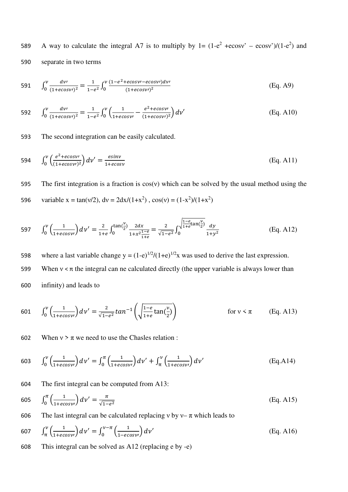589 A way to calculate the integral A7 is to multiply by  $1 = (1-e^2 + ecosv^2 - ecosv^2)/(1-e^2)$  and 590 separate in two terms

591 
$$
\int_0^{\nu} \frac{dv'}{(1+ecos\nu')^2} = \frac{1}{1-e^2} \int_0^{\nu} \frac{(1-e^2+ecos\nu'-ecos\nu')dv'}{(1+ecos\nu')^2}
$$
 (Eq. A9)

592 
$$
\int_0^v \frac{dv'}{(1+ecosv')^2} = \frac{1}{1-e^2} \int_0^v \left(\frac{1}{1+ecosv'} - \frac{e^2 + ecosv'}{(1+ecosv')^2}\right) dv' \tag{Eq. A10}
$$

593 The second integration can be easily calculated.

594 
$$
\int_0^{\nu} \left( \frac{e^2 + e\cos \nu}{(1 + e\cos \nu)^2} \right) d\nu' = \frac{e\sin \nu}{1 + e\cos \nu}
$$
 (Eq. A11)

595 The first integration is a fraction is  $cos(v)$  which can be solved by the usual method using the 596 variable x = tan(v/2), dv =  $2dx/(1+x^2)$ , cos(v) =  $(1-x^2)/(1+x^2)$ 

597 
$$
\int_0^{\nu} \left(\frac{1}{1 + e\cos \nu}\right) d\nu' = \frac{2}{1 + e} \int_0^{\tan(\frac{\nu}{2})} \frac{2 dx}{1 + x^2 \frac{1 - e}{1 + e}} = \frac{2}{\sqrt{1 - e^2}} \int_0^{\sqrt{\frac{1 - e}{1 + e} \tan(\frac{\nu}{2})}} \frac{dy}{1 + y^2}
$$
(Eq. A12)

598 where a last variable change  $y = (1-e)^{1/2}/(1+e)^{1/2}x$  was used to derive the last expression. 599 When  $v < \pi$  the integral can ne calculated directly (the upper variable is always lower than 600 infinity) and leads to

601 
$$
\int_0^{\nu} \left( \frac{1}{1 + e \cos \nu} \right) d\nu' = \frac{2}{\sqrt{1 - e^2}} \tan^{-1} \left( \sqrt{\frac{1 - e}{1 + e} \tan(\frac{\nu}{2})} \right)
$$
 for  $\nu < \pi$  (Eq. A13)

602 When  $v > \pi$  we need to use the Chasles relation :

603 
$$
\int_0^{\nu} \left( \frac{1}{1 + e \cos \nu t} \right) d\nu' = \int_0^{\pi} \left( \frac{1}{1 + e \cos \nu t} \right) d\nu' + \int_{\pi}^{\nu} \left( \frac{1}{1 + e \cos \nu t} \right) d\nu'
$$
 (Eq.A14)

604 The first integral can be computed from A13:

605 
$$
\int_0^{\pi} \left( \frac{1}{1 + e \cos v} \right) dv' = \frac{\pi}{\sqrt{1 - e^2}}
$$
 (Eq. A15)

606 The last integral can be calculated replacing v by  $v - \pi$  which leads to

$$
607 \qquad \int_{\pi}^{\nu} \left( \frac{1}{1 + e \cos \nu} \right) d\nu' = \int_{0}^{\nu - \pi} \left( \frac{1}{1 - e \cos \nu} \right) d\nu' \tag{Eq. A16}
$$

608 This integral can be solved as A12 (replacing e by -e)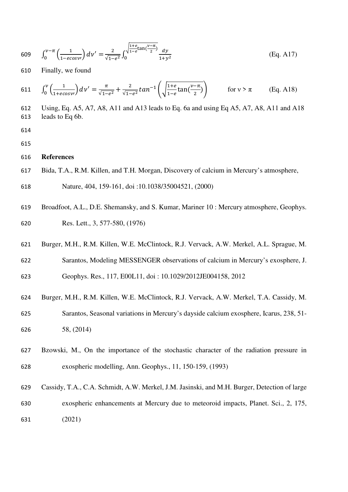609 
$$
\int_0^{\nu-\pi} \left(\frac{1}{1-e\cos\nu}\right) d\nu' = \frac{2}{\sqrt{1-e^2}} \int_0^{\sqrt{\frac{1+e}{1-e}\tan\left(\frac{\nu-\pi}{2}\right)}} \frac{dy}{1+y^2}
$$
(Eq. A17)

610 Finally, we found

611 
$$
\int_0^{\nu} \left( \frac{1}{1 + e \cos \nu} \right) d\nu' = \frac{\pi}{\sqrt{1 - e^2}} + \frac{2}{\sqrt{1 - e^2}} \tan^{-1} \left( \sqrt{\frac{1 + e}{1 - e} \tan(\frac{\nu - \pi}{2})} \right) \qquad \text{for } \nu > \pi \qquad \text{(Eq. A18)}
$$

612 Using, Eq. A5, A7, A8, A11 and A13 leads to Eq. 6a and using Eq A5, A7, A8, A11 and A18

- 613 leads to Eq 6b.
- 614
- 615

#### 616 **References**

- 617 Bida, T.A., R.M. Killen, and T.H. Morgan, Discovery of calcium in Mercury's atmosphere,
- 618 Nature, 404, 159-161, doi :10.1038/35004521, (2000)
- 619 Broadfoot, A.L., D.E. Shemansky, and S. Kumar, Mariner 10 : Mercury atmosphere, Geophys. 620 Res. Lett., 3, 577-580, (1976)
- 621 Burger, M.H., R.M. Killen, W.E. McClintock, R.J. Vervack, A.W. Merkel, A.L. Sprague, M. 622 Sarantos, Modeling MESSENGER observations of calcium in Mercury's exosphere, J.
- 623 Geophys. Res., 117, E00L11, doi : 10.1029/2012JE004158, 2012
- 624 Burger, M.H., R.M. Killen, W.E. McClintock, R.J. Vervack, A.W. Merkel, T.A. Cassidy, M. 625 Sarantos, Seasonal variations in Mercury's dayside calcium exosphere, Icarus, 238, 51- 626 58, (2014)
- 627 Bzowski, M., On the importance of the stochastic character of the radiation pressure in 628 exospheric modelling, Ann. Geophys., 11, 150-159, (1993)
- 629 Cassidy, T.A., C.A. Schmidt, A.W. Merkel, J.M. Jasinski, and M.H. Burger, Detection of large 630 exospheric enhancements at Mercury due to meteoroid impacts, Planet. Sci., 2, 175, 631 (2021)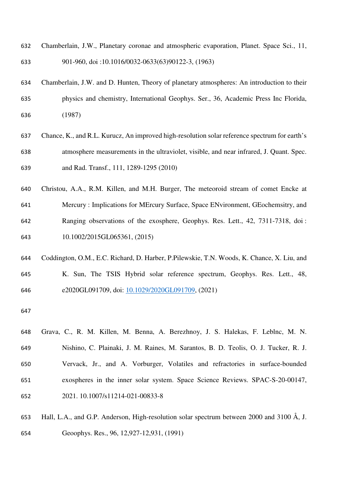- Chamberlain, J.W., Planetary coronae and atmospheric evaporation, Planet. Space Sci., 11, 901-960, doi :10.1016/0032-0633(63)90122-3, (1963)
- Chamberlain, J.W. and D. Hunten, Theory of planetary atmospheres: An introduction to their physics and chemistry, International Geophys. Ser., 36, Academic Press Inc Florida, (1987)
- Chance, K., and R.L. Kurucz, An improved high-resolution solar reference spectrum for earth's atmosphere measurements in the ultraviolet, visible, and near infrared, J. Quant. Spec. and Rad. Transf., 111, 1289-1295 (2010)
- Christou, A.A., R.M. Killen, and M.H. Burger, The meteoroid stream of comet Encke at Mercury : Implications for MErcury Surface, Space ENvironment, GEochemsitry, and Ranging observations of the exosphere, Geophys. Res. Lett., 42, 7311-7318, doi : 10.1002/2015GL065361, (2015)
- Coddington, O.M., E.C. Richard, D. Harber, P.Pilewskie, T.N. Woods, K. Chance, X. Liu, and K. Sun, The TSIS Hybrid solar reference spectrum, Geophys. Res. Lett., 48, e2020GL091709, doi: 10.1029/2020GL091709, (2021)
- 

Grava, C., R. M. Killen, M. Benna, A. Berezhnoy, J. S. Halekas, F. Leblnc, M. N. Nishino, C. Plainaki, J. M. Raines, M. Sarantos, B. D. Teolis, O. J. Tucker, R. J. Vervack, Jr., and A. Vorburger, Volatiles and refractories in surface-bounded exospheres in the inner solar system. Space Science Reviews. SPAC-S-20-00147, 2021. 10.1007/s11214-021-00833-8

Hall, L.A., and G.P. Anderson, High-resolution solar spectrum between 2000 and 3100 Å, J. Geoophys. Res., 96, 12,927-12,931, (1991)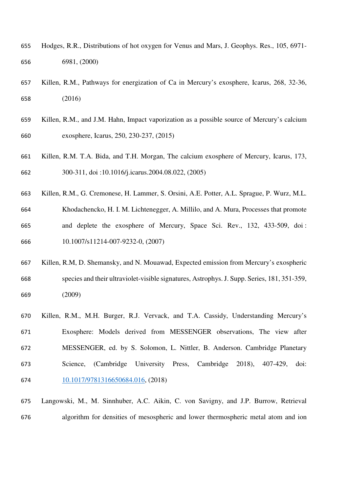- Hodges, R.R., Distributions of hot oxygen for Venus and Mars, J. Geophys. Res., 105, 6971- 6981, (2000)
- Killen, R.M., Pathways for energization of Ca in Mercury's exosphere, Icarus, 268, 32-36, (2016)
- Killen, R.M., and J.M. Hahn, Impact vaporization as a possible source of Mercury's calcium exosphere, Icarus, 250, 230-237, (2015)
- Killen, R.M. T.A. Bida, and T.H. Morgan, The calcium exosphere of Mercury, Icarus, 173, 300-311, doi :10.1016/j.icarus.2004.08.022, (2005)
- Killen, R.M., G. Cremonese, H. Lammer, S. Orsini, A.E. Potter, A.L. Sprague, P. Wurz, M.L. Khodachencko, H. I. M. Lichtenegger, A. Millilo, and A. Mura, Processes that promote and deplete the exosphere of Mercury, Space Sci. Rev., 132, 433-509, doi : 10.1007/s11214-007-9232-0, (2007)
- Killen, R.M, D. Shemansky, and N. Mouawad, Expected emission from Mercury's exospheric species and their ultraviolet-visible signatures, Astrophys. J. Supp. Series, 181, 351-359, (2009)
- Killen, R.M., M.H. Burger, R.J. Vervack, and T.A. Cassidy, Understanding Mercury's Exosphere: Models derived from MESSENGER observations, The view after MESSENGER, ed. by S. Solomon, L. Nittler, B. Anderson. Cambridge Planetary Science, (Cambridge University Press, Cambridge 2018), 407-429, doi: 10.1017/9781316650684.016, (2018)
- Langowski, M., M. Sinnhuber, A.C. Aikin, C. von Savigny, and J.P. Burrow, Retrieval algorithm for densities of mesospheric and lower thermospheric metal atom and ion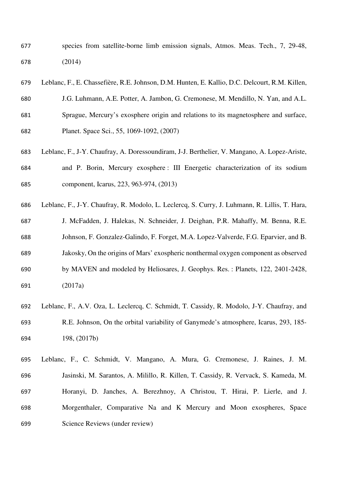- species from satellite-borne limb emission signals, Atmos. Meas. Tech., 7, 29-48, (2014)
- Leblanc, F., E. Chassefière, R.E. Johnson, D.M. Hunten, E. Kallio, D.C. Delcourt, R.M. Killen, J.G. Luhmann, A.E. Potter, A. Jambon, G. Cremonese, M. Mendillo, N. Yan, and A.L. Sprague, Mercury's exosphere origin and relations to its magnetosphere and surface, Planet. Space Sci., 55, 1069-1092, (2007)
- Leblanc, F., J-Y. Chaufray, A. Doressoundiram, J-J. Berthelier, V. Mangano, A. Lopez-Ariste, and P. Borin, Mercury exosphere : III Energetic characterization of its sodium component, Icarus, 223, 963-974, (2013)
- Leblanc, F., J-Y. Chaufray, R. Modolo, L. Leclercq, S. Curry, J. Luhmann, R. Lillis, T. Hara, J. McFadden, J. Halekas, N. Schneider, J. Deighan, P.R. Mahaffy, M. Benna, R.E. Johnson, F. Gonzalez-Galindo, F. Forget, M.A. Lopez-Valverde, F.G. Eparvier, and B. Jakosky, On the origins of Mars' exospheric nonthermal oxygen component as observed by MAVEN and modeled by Heliosares, J. Geophys. Res. : Planets, 122, 2401-2428, (2017a)
- Leblanc, F., A.V. Oza, L. Leclercq, C. Schmidt, T. Cassidy, R. Modolo, J-Y. Chaufray, and R.E. Johnson, On the orbital variability of Ganymede's atmosphere, Icarus, 293, 185- 198, (2017b)

Leblanc, F., C. Schmidt, V. Mangano, A. Mura, G. Cremonese, J. Raines, J. M. Jasinski, M. Sarantos, A. Milillo, R. Killen, T. Cassidy, R. Vervack, S. Kameda, M. Horanyi, D. Janches, A. Berezhnoy, A Christou, T. Hirai, P. Lierle, and J. Morgenthaler, Comparative Na and K Mercury and Moon exospheres, Space Science Reviews (under review)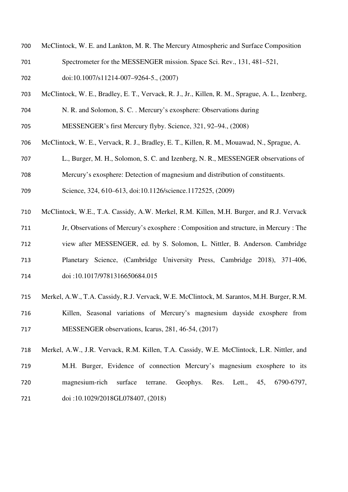- McClintock, W. E. and Lankton, M. R. The Mercury Atmospheric and Surface Composition Spectrometer for the MESSENGER mission. Space Sci. Rev., 131, 481–521, doi:10.1007/s11214-007–9264-5., (2007)
- McClintock, W. E., Bradley, E. T., Vervack, R. J., Jr., Killen, R. M., Sprague, A. L., Izenberg, N. R. and Solomon, S. C. . Mercury's exosphere: Observations during
- MESSENGER's first Mercury flyby. Science, 321, 92–94., (2008)
- McClintock, W. E., Vervack, R. J., Bradley, E. T., Killen, R. M., Mouawad, N., Sprague, A.
- L., Burger, M. H., Solomon, S. C. and Izenberg, N. R., MESSENGER observations of
- Mercury's exosphere: Detection of magnesium and distribution of constituents.
- Science, 324, 610–613, doi:10.1126/science.1172525, (2009)
- McClintock, W.E., T.A. Cassidy, A.W. Merkel, R.M. Killen, M.H. Burger, and R.J. Vervack
- Jr, Observations of Mercury's exosphere : Composition and structure, in Mercury : The view after MESSENGER, ed. by S. Solomon, L. Nittler, B. Anderson. Cambridge Planetary Science, (Cambridge University Press, Cambridge 2018), 371-406,
- doi :10.1017/9781316650684.015
- Merkel, A.W., T.A. Cassidy, R.J. Vervack, W.E. McClintock, M. Sarantos, M.H. Burger, R.M. Killen, Seasonal variations of Mercury's magnesium dayside exosphere from MESSENGER observations, Icarus, 281, 46-54, (2017)
- Merkel, A.W., J.R. Vervack, R.M. Killen, T.A. Cassidy, W.E. McClintock, L.R. Nittler, and M.H. Burger, Evidence of connection Mercury's magnesium exosphere to its magnesium-rich surface terrane. Geophys. Res. Lett., 45, 6790-6797, doi :10.1029/2018GL078407, (2018)